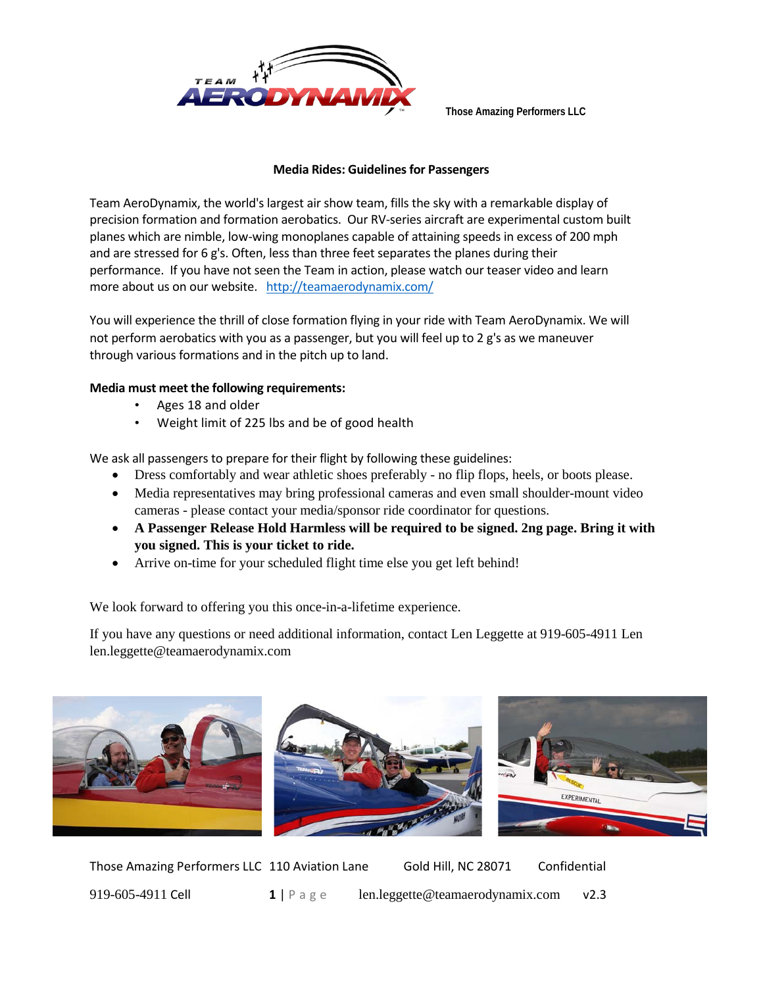

**Those Amazing Performers LLC**

## **Media Rides: Guidelines for Passengers**

Team AeroDynamix, the world's largest air show team, fills the sky with a remarkable display of precision formation and formation aerobatics. Our RV-series aircraft are experimental custom built planes which are nimble, low-wing monoplanes capable of attaining speeds in excess of 200 mph and are stressed for 6 g's. Often, less than three feet separates the planes during their performance. If you have not seen the Team in action, please watch our teaser video and learn more about us on our website. <http://teamaerodynamix.com/>

You will experience the thrill of close formation flying in your ride with Team AeroDynamix. We will not perform aerobatics with you as a passenger, but you will feel up to 2 g's as we maneuver through various formations and in the pitch up to land.

## **Media must meet the following requirements:**

- Ages 18 and older
- Weight limit of 225 lbs and be of good health

We ask all passengers to prepare for their flight by following these guidelines:

- Dress comfortably and wear athletic shoes preferably no flip flops, heels, or boots please.
- Media representatives may bring professional cameras and even small shoulder-mount video cameras - please contact your media/sponsor ride coordinator for questions.
- **A Passenger Release Hold Harmless will be required to be signed. 2ng page. Bring it with you signed. This is your ticket to ride.**
- Arrive on-time for your scheduled flight time else you get left behind!

We look forward to offering you this once-in-a-lifetime experience.

If you have any questions or need additional information, contact Len Leggette at 919-605-4911 Len len.leggette@teamaerodynamix.com







Those Amazing Performers LLC 110 Aviation Lane Gold Hill, NC 28071 Confidential 919-605-4911 Cell **1** | Page len.leggette@teamaerodynamix.com v2.3